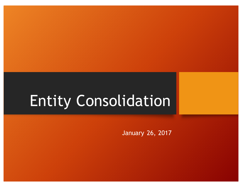# Entity Consolidation

January 26, 2017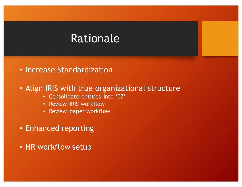# Rationale

• Increase Standardization

#### • Align IRIS with true organizational structure

- Consolidate entities into '07'
- Review IRIS workflow
- Review paper workflow
- Enhanced reporting
- HR workflow setup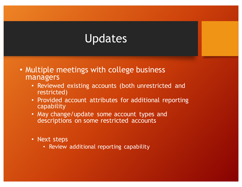# Updates

- Multiple meetings with college business managers
	- Reviewed existing accounts (both unrestricted and restricted)
	- Provided account attributes for additional reporting capability
	- May change/update some account types and descriptions on some restricted accounts
	- Next steps
		- Review additional reporting capability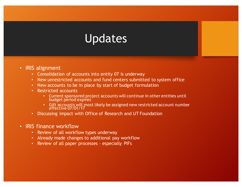### Updates

- IRIS alignment
	- Consolidation of accounts into entity 07 is underway
	- New unrestricted accounts and fund centers submitted to system office
	- New accounts to be in place by start of budget formulation
	- Restricted accounts
		- Current sponsored project accounts will continue in other entities until budget period expires
		- Gift accounts will most likely be assigned new restricted account number effective 07/01/17
	- Discussing impact with Office of Research and UT Foundation
- IRIS finance workflow
	- Review of all workflow types underway
	- Already made changes to additional pay workflow
	- Review of all paper processes especially PIFs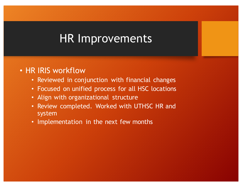### HR Improvements

#### • HR IRIS workflow

- Reviewed in conjunction with financial changes
- Focused on unified process for all HSC locations
- Align with organizational structure
- Review completed. Worked with UTHSC HR and system
- Implementation in the next few months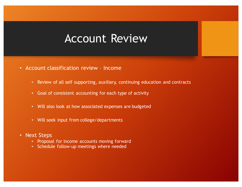#### Account Review

- Account classification review Income
	- Review of all self supporting, auxiliary, continuing education and contracts
	- Goal of consistent accounting for each type of activity
	- Will also look at how associated expenses are budgeted
	- Will seek input from college/departments
- Next Steps
	- Proposal for income accounts moving forward
	- Schedule follow-up meetings where needed